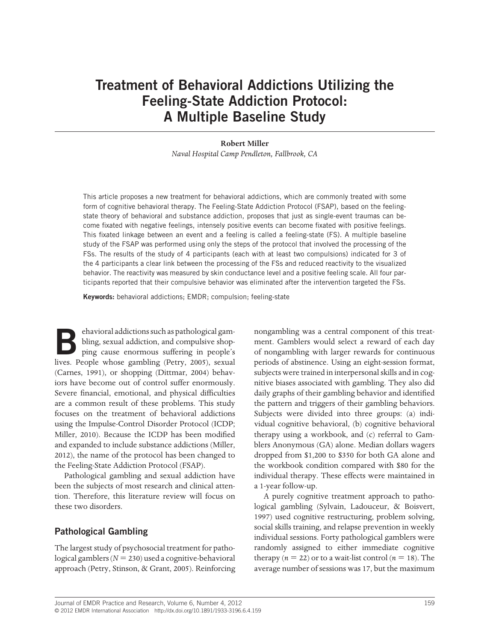# **Treatment of Behavioral Addictions Utilizing the Feeling-State Addiction Protocol: A Multiple Baseline Study**

#### **Robert Miller**

*Naval Hospital Camp Pendleton, Fallbrook, CA*

This article proposes a new treatment for behavioral addictions, which are commonly treated with some form of cognitive behavioral therapy. The Feeling-State Addiction Protocol (FSAP), based on the feelingstate theory of behavioral and substance addiction, proposes that just as single-event traumas can become fixated with negative feelings, intensely positive events can become fixated with positive feelings. This fixated linkage between an event and a feeling is called a feeling-state (FS). A multiple baseline study of the FSAP was performed using only the steps of the protocol that involved the processing of the FSs. The results of the study of 4 participants (each with at least two compulsions) indicated for 3 of the 4 participants a clear link between the processing of the FSs and reduced reactivity to the visualized behavior. The reactivity was measured by skin conductance level and a positive feeling scale. All four participants reported that their compulsive behavior was eliminated after the intervention targeted the FSs.

**Keywords:** behavioral addictions; EMDR; compulsion; feeling-state

**Behavioral addictions such as pathological gambling**, sexual addiction, and compulsive shopping cause enormous suffering in people's bling, sexual addiction, and compulsive shopping cause enormous suffering in people's lives. People whose gambling (Petry, 2005), sexual (Carnes, 1991), or shopping (Dittmar, 2004) behaviors have become out of control suffer enormously. Severe financial, emotional, and physical difficulties are a common result of these problems. This study focuses on the treatment of behavioral addictions using the Impulse-Control Disorder Protocol (ICDP; Miller, 2010). Because the ICDP has been modified and expanded to include substance addictions (Miller, 2012), the name of the protocol has been changed to the Feeling-State Addiction Protocol (FSAP).

Pathological gambling and sexual addiction have been the subjects of most research and clinical attention. Therefore, this literature review will focus on these two disorders.

# **Pathological Gambling**

The largest study of psychosocial treatment for pathological gamblers  $(N = 230)$  used a cognitive-behavioral approach (Petry, Stinson, & Grant, 2005). Reinforcing nongambling was a central component of this treatment. Gamblers would select a reward of each day of nongambling with larger rewards for continuous periods of abstinence. Using an eight-session format, subjects were trained in interpersonal skills and in cognitive biases associated with gambling. They also did daily graphs of their gambling behavior and identified the pattern and triggers of their gambling behaviors. Subjects were divided into three groups: (a) individual cognitive behavioral, (b) cognitive behavioral therapy using a workbook, and (c) referral to Gamblers Anonymous (GA) alone. Median dollars wagers dropped from \$1,200 to \$350 for both GA alone and the workbook condition compared with \$80 for the individual therapy. These effects were maintained in a 1-year follow-up.

A purely cognitive treatment approach to pathological gambling (Sylvain, Ladouceur, & Boisvert, 1997) used cognitive restructuring, problem solving, social skills training, and relapse prevention in weekly individual sessions. Forty pathological gamblers were randomly assigned to either immediate cognitive therapy ( $n = 22$ ) or to a wait-list control ( $n = 18$ ). The average number of sessions was 17, but the maximum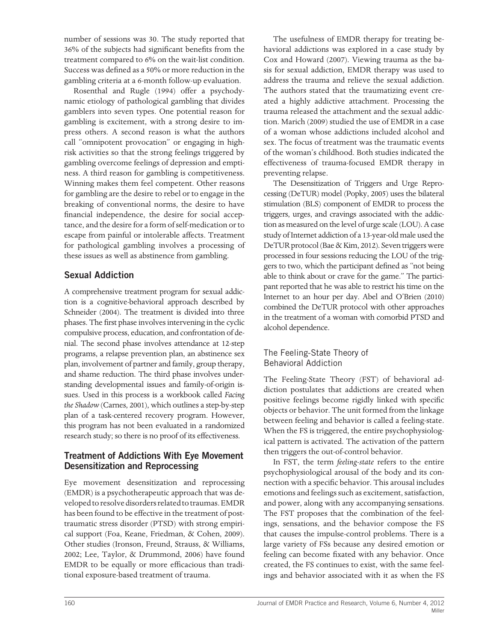number of sessions was 30. The study reported that 36% of the subjects had significant benefits from the treatment compared to 6% on the wait-list condition. Success was defined as a 50% or more reduction in the gambling criteria at a 6-month follow-up evaluation.

Rosenthal and Rugle (1994) offer a psychodynamic etiology of pathological gambling that divides gamblers into seven types. One potential reason for gambling is excitement, with a strong desire to impress others. A second reason is what the authors call "omnipotent provocation" or engaging in highrisk activities so that the strong feelings triggered by gambling overcome feelings of depression and emptiness. A third reason for gambling is competitiveness. Winning makes them feel competent. Other reasons for gambling are the desire to rebel or to engage in the breaking of conventional norms, the desire to have financial independence, the desire for social acceptance, and the desire for a form of self-medication or to escape from painful or intolerable affects. Treatment for pathological gambling involves a processing of these issues as well as abstinence from gambling.

# **Sexual Addiction**

A comprehensive treatment program for sexual addiction is a cognitive-behavioral approach described by Schneider (2004). The treatment is divided into three phases. The first phase involves intervening in the cyclic compulsive process, education, and confrontation of denial. The second phase involves attendance at 12-step programs, a relapse prevention plan, an abstinence sex plan, involvement of partner and family, group therapy, and shame reduction. The third phase involves understanding developmental issues and family-of-origin issues. Used in this process is a workbook called *Facing the Shadow* (Carnes, 2001), which outlines a step-by-step plan of a task-centered recovery program. However, this program has not been evaluated in a randomized research study; so there is no proof of its effectiveness.

# **Treatment of Addictions With Eye Movement Desensitization and Reprocessing**

Eye movement desensitization and reprocessing (EMDR) is a psychotherapeutic approach that was developed to resolve disorders related to traumas. EMDR has been found to be effective in the treatment of posttraumatic stress disorder (PTSD) with strong empirical support (Foa, Keane, Friedman, & Cohen, 2009). Other studies (Ironson, Freund, Strauss, & Williams, 2002; Lee, Taylor, & Drummond, 2006) have found EMDR to be equally or more efficacious than traditional exposure-based treatment of trauma.

The usefulness of EMDR therapy for treating behavioral addictions was explored in a case study by Cox and Howard (2007). Viewing trauma as the basis for sexual addiction, EMDR therapy was used to address the trauma and relieve the sexual addiction. The authors stated that the traumatizing event created a highly addictive attachment. Processing the trauma released the attachment and the sexual addiction. Marich (2009) studied the use of EMDR in a case of a woman whose addictions included alcohol and sex. The focus of treatment was the traumatic events of the woman's childhood. Both studies indicated the effectiveness of trauma-focused EMDR therapy in preventing relapse.

The Desensitization of Triggers and Urge Reprocessing (DeTUR) model (Popky, 2005) uses the bilateral stimulation (BLS) component of EMDR to process the triggers, urges, and cravings associated with the addiction as measured on the level of urge scale (LOU). A case study of Internet addiction of a 13-year-old male used the DeTUR protocol (Bae & Kim, 2012). Seven triggers were processed in four sessions reducing the LOU of the triggers to two, which the participant defined as "not being able to think about or crave for the game." The participant reported that he was able to restrict his time on the Internet to an hour per day. Abel and O'Brien (2010) combined the DeTUR protocol with other approaches in the treatment of a woman with comorbid PTSD and alcohol dependence.

### The Feeling-State Theory of Behavioral Addiction

The Feeling-State Theory (FST) of behavioral addiction postulates that addictions are created when positive feelings become rigidly linked with specific objects or behavior. The unit formed from the linkage between feeling and behavior is called a feeling-state. When the FS is triggered, the entire psychophysiological pattern is activated. The activation of the pattern then triggers the out-of-control behavior.

In FST, the term *feeling-state* refers to the entire psychophysiological arousal of the body and its connection with a specific behavior. This arousal includes emotions and feelings such as excitement, satisfaction, and power, along with any accompanying sensations. The FST proposes that the combination of the feelings, sensations, and the behavior compose the FS that causes the impulse-control problems. There is a large variety of FSs because any desired emotion or feeling can become fixated with any behavior. Once created, the FS continues to exist, with the same feelings and behavior associated with it as when the FS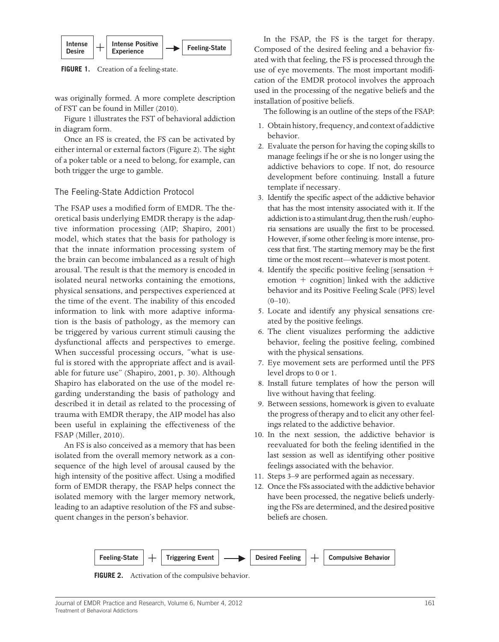

**FIGURE 1.** Creation of a feeling-state.

was originally formed. A more complete description of FST can be found in Miller (2010).

Figure 1 illustrates the FST of behavioral addiction in diagram form.

Once an FS is created, the FS can be activated by either internal or external factors (Figure 2). The sight of a poker table or a need to belong, for example, can both trigger the urge to gamble.

### The Feeling-State Addiction Protocol

The FSAP uses a modified form of EMDR. The theoretical basis underlying EMDR therapy is the adaptive information processing (AIP; Shapiro, 2001) model, which states that the basis for pathology is that the innate information processing system of the brain can become imbalanced as a result of high arousal. The result is that the memory is encoded in isolated neural networks containing the emotions, physical sensations, and perspectives experienced at the time of the event. The inability of this encoded information to link with more adaptive information is the basis of pathology, as the memory can be triggered by various current stimuli causing the dysfunctional affects and perspectives to emerge. When successful processing occurs, "what is useful is stored with the appropriate affect and is available for future use" (Shapiro, 2001, p. 30). Although Shapiro has elaborated on the use of the model regarding understanding the basis of pathology and described it in detail as related to the processing of trauma with EMDR therapy, the AIP model has also been useful in explaining the effectiveness of the FSAP (Miller, 2010).

An FS is also conceived as a memory that has been isolated from the overall memory network as a consequence of the high level of arousal caused by the high intensity of the positive affect. Using a modified form of EMDR therapy, the FSAP helps connect the isolated memory with the larger memory network, leading to an adaptive resolution of the FS and subsequent changes in the person's behavior.

In the FSAP, the FS is the target for therapy. Composed of the desired feeling and a behavior fixated with that feeling, the FS is processed through the use of eye movements. The most important modification of the EMDR protocol involves the approach used in the processing of the negative beliefs and the installation of positive beliefs.

The following is an outline of the steps of the FSAP:

- 1. Obtain history, frequency, and context of addictive behavior.
- 2. Evaluate the person for having the coping skills to manage feelings if he or she is no longer using the addictive behaviors to cope. If not, do resource development before continuing. Install a future template if necessary.
- 3. Identify the specific aspect of the addictive behavior that has the most intensity associated with it. If the addiction is to a stimulant drug, then the rush/euphoria sensations are usually the first to be processed. However, if some other feeling is more intense, process that first. The starting memory may be the first time or the most recent—whatever is most potent.
- 4. Identify the specific positive feeling [sensation  $+$ emotion  $+$  cognition] linked with the addictive behavior and its Positive Feeling Scale (PFS) level  $(0-10)$ .
- 5. Locate and identify any physical sensations created by the positive feelings.
- 6. The client visualizes performing the addictive behavior, feeling the positive feeling, combined with the physical sensations.
- 7. Eye movement sets are performed until the PFS level drops to 0 or 1.
- 8. Install future templates of how the person will live without having that feeling.
- 9. Between sessions, homework is given to evaluate the progress of therapy and to elicit any other feelings related to the addictive behavior.
- 10. In the next session, the addictive behavior is reevaluated for both the feeling identified in the last session as well as identifying other positive feelings associated with the behavior.
- 11. Steps 3–9 are performed again as necessary.
- 12. Once the FSs associated with the addictive behavior have been processed, the negative beliefs underlying the FSs are determined, and the desired positive beliefs are chosen.



**FIGURE 2.** Activation of the compulsive behavior.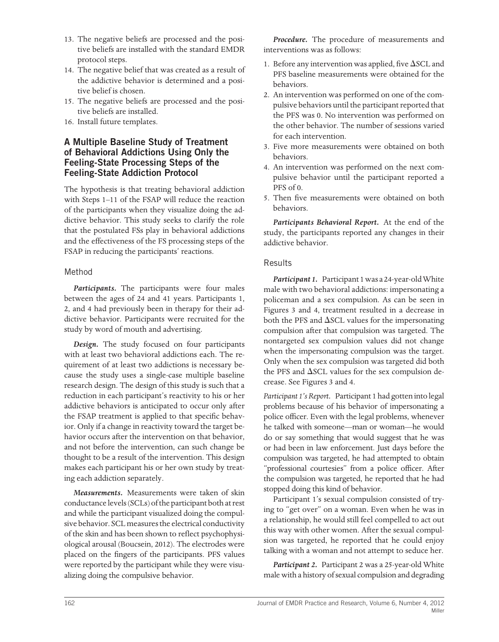- 13. The negative beliefs are processed and the positive beliefs are installed with the standard EMDR protocol steps.
- 14. The negative belief that was created as a result of the addictive behavior is determined and a positive belief is chosen.
- 15. The negative beliefs are processed and the positive beliefs are installed.
- 16. Install future templates.

## **A Multiple Baseline Study of Treatment of Behavioral Addictions Using Only the Feeling-State Processing Steps of the Feeling-State Addiction Protocol**

The hypothesis is that treating behavioral addiction with Steps 1–11 of the FSAP will reduce the reaction of the participants when they visualize doing the addictive behavior. This study seeks to clarify the role that the postulated FSs play in behavioral addictions and the effectiveness of the FS processing steps of the FSAP in reducing the participants' reactions.

## Method

*Participants.* The participants were four males between the ages of 24 and 41 years. Participants 1, 2, and 4 had previously been in therapy for their addictive behavior. Participants were recruited for the study by word of mouth and advertising.

*Design.* The study focused on four participants with at least two behavioral addictions each. The requirement of at least two addictions is necessary because the study uses a single-case multiple baseline research design. The design of this study is such that a reduction in each participant's reactivity to his or her addictive behaviors is anticipated to occur only after the FSAP treatment is applied to that specific behavior. Only if a change in reactivity toward the target behavior occurs after the intervention on that behavior, and not before the intervention, can such change be thought to be a result of the intervention. This design makes each participant his or her own study by treating each addiction separately.

*Measurements.* Measurements were taken of skin conductance levels (SCLs) of the participant both at rest and while the participant visualized doing the compulsive behavior. SCL measures the electrical conductivity of the skin and has been shown to reflect psychophysiological arousal (Boucsein, 2012). The electrodes were placed on the fingers of the participants. PFS values were reported by the participant while they were visualizing doing the compulsive behavior.

*Procedure.* The procedure of measurements and interventions was as follows:

- 1. Before any intervention was applied, five  $\Delta$ SCL and PFS baseline measurements were obtained for the behaviors.
- 2. An intervention was performed on one of the compulsive behaviors until the participant reported that the PFS was 0. No intervention was performed on the other behavior. The number of sessions varied for each intervention.
- 3. Five more measurements were obtained on both behaviors.
- 4. An intervention was performed on the next compulsive behavior until the participant reported a PFS of 0.
- 5. Then five measurements were obtained on both behaviors.

*Participants Behavioral Report.* At the end of the study, the participants reported any changes in their addictive behavior.

### Results

*Participant 1.* Participant 1 was a 24-year-old White male with two behavioral addictions: impersonating a policeman and a sex compulsion. As can be seen in Figures 3 and 4, treatment resulted in a decrease in both the PFS and  $\Delta$ SCL values for the impersonating compulsion after that compulsion was targeted. The nontargeted sex compulsion values did not change when the impersonating compulsion was the target. Only when the sex compulsion was targeted did both the PFS and  $\Delta$ SCL values for the sex compulsion decrease. See Figures 3 and 4.

*Participant 1's Report.* Participant 1 had gotten into legal problems because of his behavior of impersonating a police officer. Even with the legal problems, whenever he talked with someone—man or woman—he would do or say something that would suggest that he was or had been in law enforcement. Just days before the compulsion was targeted, he had attempted to obtain "professional courtesies" from a police officer. After the compulsion was targeted, he reported that he had stopped doing this kind of behavior.

Participant 1's sexual compulsion consisted of trying to "get over" on a woman. Even when he was in a relationship, he would still feel compelled to act out this way with other women. After the sexual compulsion was targeted, he reported that he could enjoy talking with a woman and not attempt to seduce her.

*Participant 2.* Participant 2 was a 25-year-old White male with a history of sexual compulsion and degrading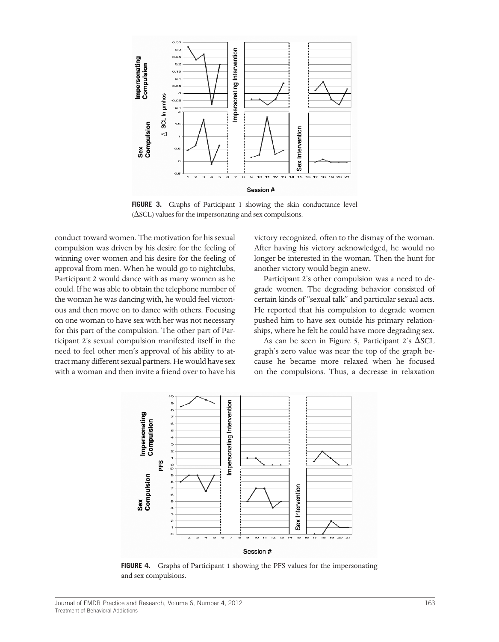

FIGURE 3. Graphs of Participant 1 showing the skin conductance level  $(\Delta SCL)$  values for the impersonating and sex compulsions.

conduct toward women. The motivation for his sexual compulsion was driven by his desire for the feeling of winning over women and his desire for the feeling of approval from men. When he would go to nightclubs, Participant 2 would dance with as many women as he could. If he was able to obtain the telephone number of the woman he was dancing with, he would feel victorious and then move on to dance with others. Focusing on one woman to have sex with her was not necessary for this part of the compulsion. The other part of Participant 2's sexual compulsion manifested itself in the need to feel other men's approval of his ability to attract many different sexual partners. He would have sex with a woman and then invite a friend over to have his

victory recognized, often to the dismay of the woman. After having his victory acknowledged, he would no longer be interested in the woman. Then the hunt for another victory would begin anew.

Participant 2's other compulsion was a need to degrade women. The degrading behavior consisted of certain kinds of "sexual talk" and particular sexual acts. He reported that his compulsion to degrade women pushed him to have sex outside his primary relationships, where he felt he could have more degrading sex.

As can be seen in Figure 5, Participant 2's  $\Delta$ SCL graph's zero value was near the top of the graph because he became more relaxed when he focused on the compulsions. Thus, a decrease in relaxation



FIGURE 4. Graphs of Participant 1 showing the PFS values for the impersonating and sex compulsions.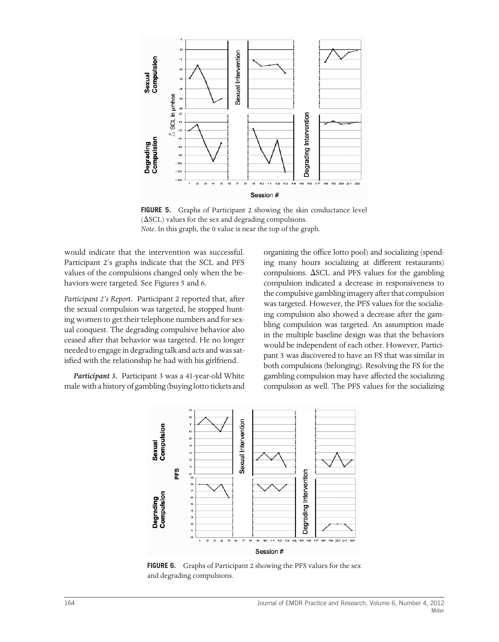

FIGURE 5. Graphs of Participant 2 showing the skin conductance level  $(\Delta \text{SCL})$  values for the sex and degrading compulsions. *Note*. In this graph, the 0 value is near the top of the graph.

would indicate that the intervention was successful. Participant 2's graphs indicate that the SCL and PFS values of the compulsions changed only when the behaviors were targeted. See Figures 5 and 6.

*Participant 2's Report.* Participant 2 reported that, after the sexual compulsion was targeted, he stopped hunting women to get their telephone numbers and for sexual conquest. The degrading compulsive behavior also ceased after that behavior was targeted. He no longer needed to engage in degrading talk and acts and was satisfied with the relationship he had with his girlfriend.

*Participant 3.* Participant 3 was a 41-year-old White male with a history of gambling (buying lotto tickets and organizing the office lotto pool) and socializing (spending many hours socializing at different restaurants) compulsions.  $\Delta$ SCL and PFS values for the gambling compulsion indicated a decrease in responsiveness to the compulsive gambling imagery after that compulsion was targeted. However, the PFS values for the socializing compulsion also showed a decrease after the gambling compulsion was targeted. An assumption made in the multiple baseline design was that the behaviors would be independent of each other. However, Participant 3 was discovered to have an FS that was similar in both compulsions (belonging). Resolving the FS for the gambling compulsion may have affected the socializing compulsion as well. The PFS values for the socializing



FIGURE 6. Graphs of Participant 2 showing the PFS values for the sex and degrading compulsions.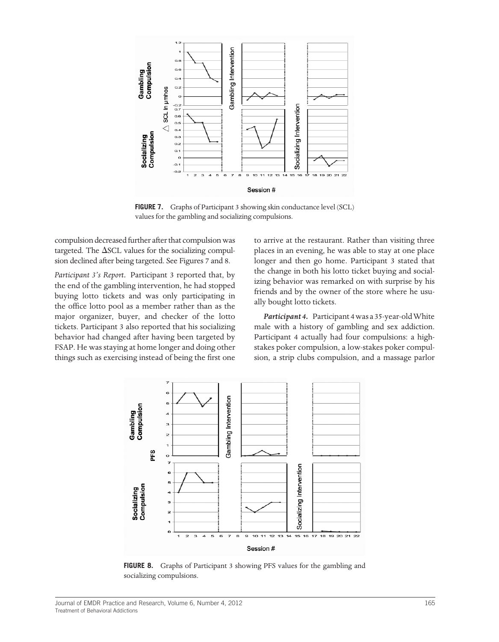

**FIGURE 7.** Graphs of Participant 3 showing skin conductance level (SCL) values for the gambling and socializing compulsions.

compulsion decreased further after that compulsion was targeted. The  $\Delta$ SCL values for the socializing compulsion declined after being targeted. See Figures 7 and 8.

*Participant 3's Report.* Participant 3 reported that, by the end of the gambling intervention, he had stopped buying lotto tickets and was only participating in the office lotto pool as a member rather than as the major organizer, buyer, and checker of the lotto tickets. Participant 3 also reported that his socializing behavior had changed after having been targeted by FSAP. He was staying at home longer and doing other things such as exercising instead of being the first one

to arrive at the restaurant. Rather than visiting three places in an evening, he was able to stay at one place longer and then go home. Participant 3 stated that the change in both his lotto ticket buying and socializing behavior was remarked on with surprise by his friends and by the owner of the store where he usually bought lotto tickets.

*Participant 4.* Participant 4 was a 35-year-old White male with a history of gambling and sex addiction. Participant 4 actually had four compulsions: a highstakes poker compulsion, a low-stakes poker compulsion, a strip clubs compulsion, and a massage parlor



**FIGURE 8.** Graphs of Participant 3 showing PFS values for the gambling and socializing compulsions.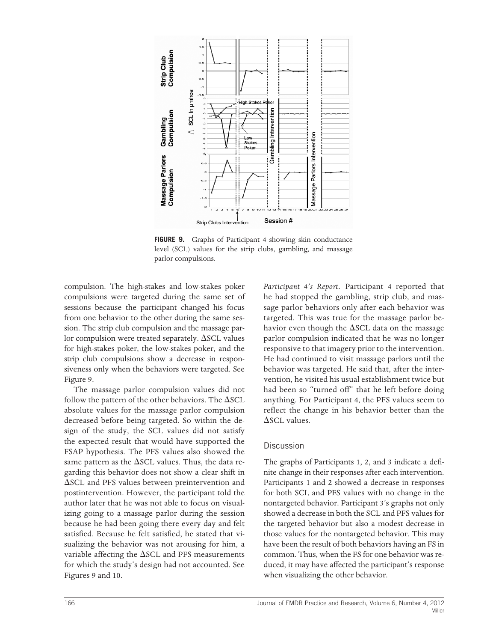

**FIGURE 9.** Graphs of Participant 4 showing skin conductance level (SCL) values for the strip clubs, gambling, and massage parlor compulsions.

compulsion. The high-stakes and low-stakes poker compulsions were targeted during the same set of sessions because the participant changed his focus from one behavior to the other during the same session. The strip club compulsion and the massage parlor compulsion were treated separately.  $\Delta$ SCL values for high-stakes poker, the low-stakes poker, and the strip club compulsions show a decrease in responsiveness only when the behaviors were targeted. See Figure 9.

The massage parlor compulsion values did not follow the pattern of the other behaviors. The  $\Delta \text{SCL}$ absolute values for the massage parlor compulsion decreased before being targeted. So within the design of the study, the SCL values did not satisfy the expected result that would have supported the FSAP hypothesis. The PFS values also showed the same pattern as the  $\Delta$ SCL values. Thus, the data regarding this behavior does not show a clear shift in  $\Delta$ SCL and PFS values between preintervention and postintervention. However, the participant told the author later that he was not able to focus on visualizing going to a massage parlor during the session because he had been going there every day and felt satisfied. Because he felt satisfied, he stated that visualizing the behavior was not arousing for him, a variable affecting the  $\Delta$ SCL and PFS measurements for which the study's design had not accounted. See Figures 9 and 10.

*Participant 4's Report.* Participant 4 reported that he had stopped the gambling, strip club, and massage parlor behaviors only after each behavior was targeted. This was true for the massage parlor behavior even though the  $\Delta$ SCL data on the massage parlor compulsion indicated that he was no longer responsive to that imagery prior to the intervention. He had continued to visit massage parlors until the behavior was targeted. He said that, after the intervention, he visited his usual establishment twice but had been so "turned off" that he left before doing anything. For Participant 4, the PFS values seem to reflect the change in his behavior better than the  $\Delta$ SCL values.

#### Discussion

The graphs of Participants 1, 2, and 3 indicate a definite change in their responses after each intervention. Participants 1 and 2 showed a decrease in responses for both SCL and PFS values with no change in the nontargeted behavior. Participant 3's graphs not only showed a decrease in both the SCL and PFS values for the targeted behavior but also a modest decrease in those values for the nontargeted behavior. This may have been the result of both behaviors having an FS in common. Thus, when the FS for one behavior was reduced, it may have affected the participant's response when visualizing the other behavior.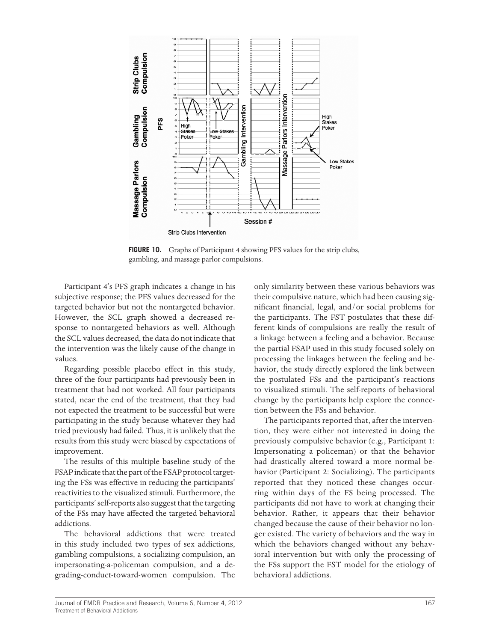

FIGURE 10. Graphs of Participant 4 showing PFS values for the strip clubs, gambling, and massage parlor compulsions.

Participant 4's PFS graph indicates a change in his subjective response; the PFS values decreased for the targeted behavior but not the nontargeted behavior. However, the SCL graph showed a decreased response to nontargeted behaviors as well. Although the SCL values decreased, the data do not indicate that the intervention was the likely cause of the change in values.

Regarding possible placebo effect in this study, three of the four participants had previously been in treatment that had not worked. All four participants stated, near the end of the treatment, that they had not expected the treatment to be successful but were participating in the study because whatever they had tried previously had failed. Thus, it is unlikely that the results from this study were biased by expectations of improvement.

The results of this multiple baseline study of the FSAP indicate that the part of the FSAP protocol targeting the FSs was effective in reducing the participants' reactivities to the visualized stimuli. Furthermore, the participants' self-reports also suggest that the targeting of the FSs may have affected the targeted behavioral addictions.

The behavioral addictions that were treated in this study included two types of sex addictions, gambling compulsions, a socializing compulsion, an impersonating-a-policeman compulsion, and a degrading-conduct-toward-women compulsion. The

only similarity between these various behaviors was their compulsive nature, which had been causing significant financial, legal, and/or social problems for the participants. The FST postulates that these different kinds of compulsions are really the result of a linkage between a feeling and a behavior. Because the partial FSAP used in this study focused solely on processing the linkages between the feeling and behavior, the study directly explored the link between the postulated FSs and the participant's reactions to visualized stimuli. The self-reports of behavioral change by the participants help explore the connection between the FSs and behavior.

The participants reported that, after the intervention, they were either not interested in doing the previously compulsive behavior (e.g., Participant 1: Impersonating a policeman) or that the behavior had drastically altered toward a more normal behavior (Participant 2: Socializing). The participants reported that they noticed these changes occurring within days of the FS being processed. The participants did not have to work at changing their behavior. Rather, it appears that their behavior changed because the cause of their behavior no longer existed. The variety of behaviors and the way in which the behaviors changed without any behavioral intervention but with only the processing of the FSs support the FST model for the etiology of behavioral addictions.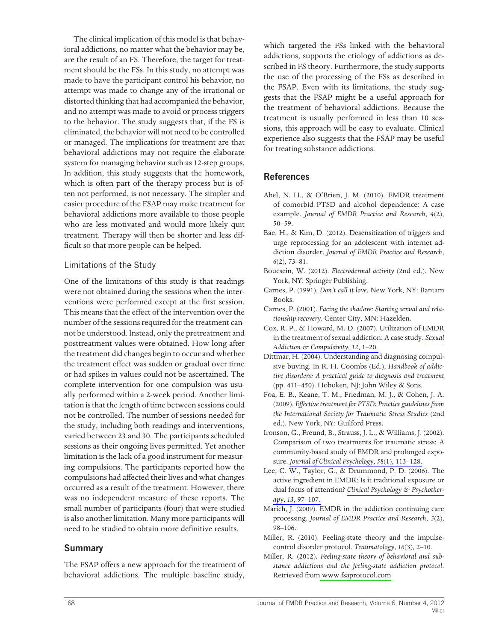The clinical implication of this model is that behavioral addictions, no matter what the behavior may be, are the result of an FS. Therefore, the target for treatment should be the FSs. In this study, no attempt was made to have the participant control his behavior, no attempt was made to change any of the irrational or distorted thinking that had accompanied the behavior, and no attempt was made to avoid or process triggers to the behavior. The study suggests that, if the FS is eliminated, the behavior will not need to be controlled or managed. The implications for treatment are that behavioral addictions may not require the elaborate system for managing behavior such as 12-step groups. In addition, this study suggests that the homework, which is often part of the therapy process but is often not performed, is not necessary. The simpler and easier procedure of the FSAP may make treatment for behavioral addictions more available to those people who are less motivated and would more likely quit treatment. Therapy will then be shorter and less difficult so that more people can be helped.

### Limitations of the Study

One of the limitations of this study is that readings were not obtained during the sessions when the interventions were performed except at the first session. This means that the effect of the intervention over the number of the sessions required for the treatment cannot be understood. Instead, only the pretreatment and posttreatment values were obtained. How long after the treatment did changes begin to occur and whether the treatment effect was sudden or gradual over time or had spikes in values could not be ascertained. The complete intervention for one compulsion was usually performed within a 2-week period. Another limitation is that the length of time between sessions could not be controlled. The number of sessions needed for the study, including both readings and interventions, varied between 23 and 30. The participants scheduled sessions as their ongoing lives permitted. Yet another limitation is the lack of a good instrument for measuring compulsions. The participants reported how the compulsions had affected their lives and what changes occurred as a result of the treatment. However, there was no independent measure of these reports. The small number of participants (four) that were studied is also another limitation. Many more participants will need to be studied to obtain more definitive results.

# **Summary**

The FSAP offers a new approach for the treatment of behavioral addictions. The multiple baseline study,

which targeted the FSs linked with the behavioral addictions, supports the etiology of addictions as described in FS theory. Furthermore, the study supports the use of the processing of the FSs as described in the FSAP. Even with its limitations, the study suggests that the FSAP might be a useful approach for the treatment of behavioral addictions. Because the treatment is usually performed in less than 10 sessions, this approach will be easy to evaluate. Clinical experience also suggests that the FSAP may be useful for treating substance addictions.

# **References**

- Abel, N. H., & O'Brien, J. M. (2010). EMDR treatment of comorbid PTSD and alcohol dependence: A case example. *Journal of EMDR Practice and Research*, *4*(2), 50–59.
- Bae, H., & Kim, D. (2012). Desensitization of triggers and urge reprocessing for an adolescent with internet addiction disorder. *Journal of EMDR Practice and Research*, *6*(2), 73–81.
- Boucsein, W. (2012). *Electrodermal activity* (2nd ed.). New York, NY: Springer Publishing.
- Carnes, P. (1991). *Don't call it love*. New York, NY: Bantam Books.
- Carnes, P. (2001). *Facing the shadow: Starting sexual and relationship recovery*. Center City, MN: Hazelden.
- Cox, R. P., & Howard, M. D. (2007). Utilization of EMDR in the treatment of sexual addiction: A case study. *[Sexual](http://www.ingentaconnect.com/content/external-references?article=1072-0162()12L.1[aid=10094351]) [Addiction & Compulsivity](http://www.ingentaconnect.com/content/external-references?article=1072-0162()12L.1[aid=10094351])*, *12*, 1–20.
- Dittmar, H. (2004). Understanding and diagnosing compulsive buying. In R. H. Coombs (Ed.), *Handbook of addictive disorders: A practical guide to diagnosis and treatment* (pp. 411–450). Hoboken, NJ: John Wiley & Sons.
- Foa, E. B., Keane, T. M., Friedman, M. J., & Cohen, J. A. (2009). *Effective treatment for PTSD: Practice guidelines from the International Society for Traumatic Stress Studies* (2nd ed.). New York, NY: Guilford Press.
- Ironson, G., Freund, B., Strauss, J. L., & Williams, J. (2002). Comparison of two treatments for traumatic stress: A community-based study of EMDR and prolonged exposure. *[Journal of Clinical Psychology](http://www.ingentaconnect.com/content/external-references?article=0021-9762()58:1L.113[aid=8411718])*, *58*(1), 113–128.
- Lee, C. W., Taylor, G., & Drummond, P. D.  $(2006)$ . The active ingredient in EMDR: Is it traditional exposure or dual focus of attention? *[Clinical Psychology & Psychother](http://www.ingentaconnect.com/content/external-references?article=1063-3995()13L.97[aid=7985997])apy*, *13*[, 97–107.](http://www.ingentaconnect.com/content/external-references?article=1063-3995()13L.97[aid=7985997])
- Marich, J. (2009). EMDR in the addiction continuing care processing. *Journal of EMDR Practice and Research*, *3*(2), 98–106.
- Miller, R. (2010). Feeling-state theory and the impulsecontrol disorder protocol. *Traumatology*, *16*(3), 2–10.
- Miller, R. (2012). *Feeling-state theory of behavioral and substance addictions and the feeling-state addiction protocol*. Retrieved fro[m www.fsaprotocol.com](http://www.fsaprotocol.com)